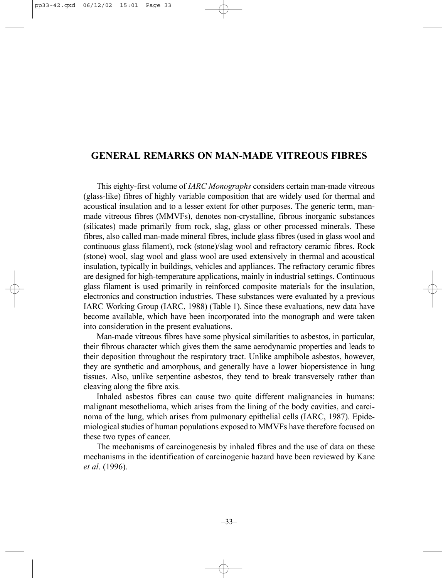# **GENERAL REMARKS ON MAN-MADE VITREOUS FIBRES**

This eighty-first volume of *IARC Monographs* considers certain man-made vitreous (glass-like) fibres of highly variable composition that are widely used for thermal and acoustical insulation and to a lesser extent for other purposes. The generic term, manmade vitreous fibres (MMVFs), denotes non-crystalline, fibrous inorganic substances (silicates) made primarily from rock, slag, glass or other processed minerals. These fibres, also called man-made mineral fibres, include glass fibres (used in glass wool and continuous glass filament), rock (stone)/slag wool and refractory ceramic fibres. Rock (stone) wool, slag wool and glass wool are used extensively in thermal and acoustical insulation, typically in buildings, vehicles and appliances. The refractory ceramic fibres are designed for high-temperature applications, mainly in industrial settings. Continuous glass filament is used primarily in reinforced composite materials for the insulation, electronics and construction industries. These substances were evaluated by a previous IARC Working Group (IARC, 1988) (Table 1). Since these evaluations, new data have become available, which have been incorporated into the monograph and were taken into consideration in the present evaluations.

Man-made vitreous fibres have some physical similarities to asbestos, in particular, their fibrous character which gives them the same aerodynamic properties and leads to their deposition throughout the respiratory tract. Unlike amphibole asbestos, however, they are synthetic and amorphous, and generally have a lower biopersistence in lung tissues. Also, unlike serpentine asbestos, they tend to break transversely rather than cleaving along the fibre axis.

Inhaled asbestos fibres can cause two quite different malignancies in humans: malignant mesothelioma, which arises from the lining of the body cavities, and carcinoma of the lung, which arises from pulmonary epithelial cells (IARC, 1987). Epidemiological studies of human populations exposed to MMVFs have therefore focused on these two types of cancer.

The mechanisms of carcinogenesis by inhaled fibres and the use of data on these mechanisms in the identification of carcinogenic hazard have been reviewed by Kane *et al*. (1996).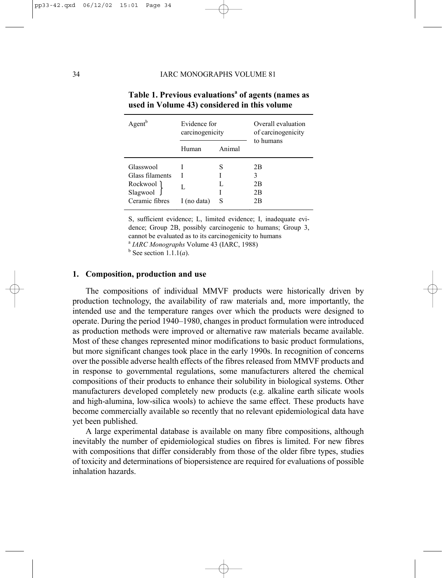| Agent <sup>b</sup>                                                       | Evidence for<br>carcinogenicity |        | Overall evaluation<br>of carcinogenicity<br>to humans |
|--------------------------------------------------------------------------|---------------------------------|--------|-------------------------------------------------------|
|                                                                          | Human                           | Animal |                                                       |
| Glasswool<br>Glass filaments<br>Rockwool \<br>Slagwool<br>Ceramic fibres | I (no data)                     | S<br>S | 2B<br>3<br>2B<br>2B<br>2B                             |

## **Table 1. Previous evaluations<sup>a</sup> of agents (names as used in Volume 43) considered in this volume**

S, sufficient evidence; L, limited evidence; I, inadequate evidence; Group 2B, possibly carcinogenic to humans; Group 3, cannot be evaluated as to its carcinogenicity to humans <sup>a</sup> *IARC Monographs* Volume 43 (IARC, 1988)

 $<sup>b</sup>$  See section 1.1.1(*a*).</sup>

### **1. Composition, production and use**

The compositions of individual MMVF products were historically driven by production technology, the availability of raw materials and, more importantly, the intended use and the temperature ranges over which the products were designed to operate. During the period 1940–1980, changes in product formulation were introduced as production methods were improved or alternative raw materials became available. Most of these changes represented minor modifications to basic product formulations, but more significant changes took place in the early 1990s. In recognition of concerns over the possible adverse health effects of the fibres released from MMVF products and in response to governmental regulations, some manufacturers altered the chemical compositions of their products to enhance their solubility in biological systems. Other manufacturers developed completely new products (e.g. alkaline earth silicate wools and high-alumina, low-silica wools) to achieve the same effect. These products have become commercially available so recently that no relevant epidemiological data have yet been published.

A large experimental database is available on many fibre compositions, although inevitably the number of epidemiological studies on fibres is limited. For new fibres with compositions that differ considerably from those of the older fibre types, studies of toxicity and determinations of biopersistence are required for evaluations of possible inhalation hazards.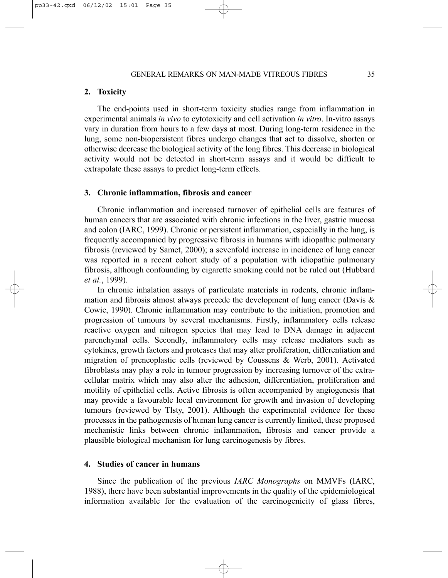#### **2. Toxicity**

The end-points used in short-term toxicity studies range from inflammation in experimental animals *in vivo* to cytotoxicity and cell activation *in vitro*. In-vitro assays vary in duration from hours to a few days at most. During long-term residence in the lung, some non-biopersistent fibres undergo changes that act to dissolve, shorten or otherwise decrease the biological activity of the long fibres. This decrease in biological activity would not be detected in short-term assays and it would be difficult to extrapolate these assays to predict long-term effects.

### **3. Chronic inflammation, fibrosis and cancer**

Chronic inflammation and increased turnover of epithelial cells are features of human cancers that are associated with chronic infections in the liver, gastric mucosa and colon (IARC, 1999). Chronic or persistent inflammation, especially in the lung, is frequently accompanied by progressive fibrosis in humans with idiopathic pulmonary fibrosis (reviewed by Samet, 2000); a sevenfold increase in incidence of lung cancer was reported in a recent cohort study of a population with idiopathic pulmonary fibrosis, although confounding by cigarette smoking could not be ruled out (Hubbard *et al.*, 1999).

In chronic inhalation assays of particulate materials in rodents, chronic inflammation and fibrosis almost always precede the development of lung cancer (Davis  $\&$ Cowie, 1990). Chronic inflammation may contribute to the initiation, promotion and progression of tumours by several mechanisms. Firstly, inflammatory cells release reactive oxygen and nitrogen species that may lead to DNA damage in adjacent parenchymal cells. Secondly, inflammatory cells may release mediators such as cytokines, growth factors and proteases that may alter proliferation, differentiation and migration of preneoplastic cells (reviewed by Coussens & Werb, 2001). Activated fibroblasts may play a role in tumour progression by increasing turnover of the extracellular matrix which may also alter the adhesion, differentiation, proliferation and motility of epithelial cells. Active fibrosis is often accompanied by angiogenesis that may provide a favourable local environment for growth and invasion of developing tumours (reviewed by Tlsty, 2001). Although the experimental evidence for these processes in the pathogenesis of human lung cancer is currently limited, these proposed mechanistic links between chronic inflammation, fibrosis and cancer provide a plausible biological mechanism for lung carcinogenesis by fibres.

### **4. Studies of cancer in humans**

Since the publication of the previous *IARC Monographs* on MMVFs (IARC, 1988), there have been substantial improvements in the quality of the epidemiological information available for the evaluation of the carcinogenicity of glass fibres,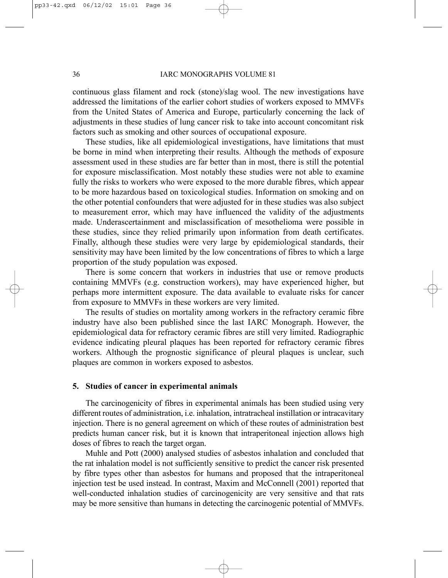continuous glass filament and rock (stone)/slag wool. The new investigations have addressed the limitations of the earlier cohort studies of workers exposed to MMVFs from the United States of America and Europe, particularly concerning the lack of adjustments in these studies of lung cancer risk to take into account concomitant risk factors such as smoking and other sources of occupational exposure.

These studies, like all epidemiological investigations, have limitations that must be borne in mind when interpreting their results. Although the methods of exposure assessment used in these studies are far better than in most, there is still the potential for exposure misclassification. Most notably these studies were not able to examine fully the risks to workers who were exposed to the more durable fibres, which appear to be more hazardous based on toxicological studies. Information on smoking and on the other potential confounders that were adjusted for in these studies was also subject to measurement error, which may have influenced the validity of the adjustments made. Underascertainment and misclassification of mesothelioma were possible in these studies, since they relied primarily upon information from death certificates. Finally, although these studies were very large by epidemiological standards, their sensitivity may have been limited by the low concentrations of fibres to which a large proportion of the study population was exposed.

There is some concern that workers in industries that use or remove products containing MMVFs (e.g. construction workers), may have experienced higher, but perhaps more intermittent exposure. The data available to evaluate risks for cancer from exposure to MMVFs in these workers are very limited.

The results of studies on mortality among workers in the refractory ceramic fibre industry have also been published since the last IARC Monograph. However, the epidemiological data for refractory ceramic fibres are still very limited. Radiographic evidence indicating pleural plaques has been reported for refractory ceramic fibres workers. Although the prognostic significance of pleural plaques is unclear, such plaques are common in workers exposed to asbestos.

### **5. Studies of cancer in experimental animals**

The carcinogenicity of fibres in experimental animals has been studied using very different routes of administration, i.e. inhalation, intratracheal instillation or intracavitary injection. There is no general agreement on which of these routes of administration best predicts human cancer risk, but it is known that intraperitoneal injection allows high doses of fibres to reach the target organ.

Muhle and Pott (2000) analysed studies of asbestos inhalation and concluded that the rat inhalation model is not sufficiently sensitive to predict the cancer risk presented by fibre types other than asbestos for humans and proposed that the intraperitoneal injection test be used instead. In contrast, Maxim and McConnell (2001) reported that well-conducted inhalation studies of carcinogenicity are very sensitive and that rats may be more sensitive than humans in detecting the carcinogenic potential of MMVFs.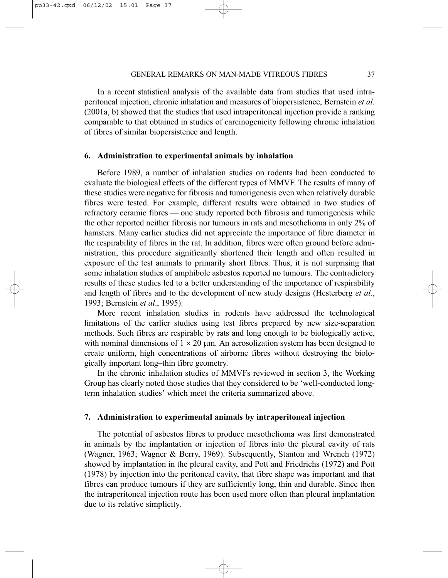In a recent statistical analysis of the available data from studies that used intraperitoneal injection, chronic inhalation and measures of biopersistence, Bernstein *et al*. (2001a, b) showed that the studies that used intraperitoneal injection provide a ranking comparable to that obtained in studies of carcinogenicity following chronic inhalation of fibres of similar biopersistence and length.

### **6. Administration to experimental animals by inhalation**

Before 1989, a number of inhalation studies on rodents had been conducted to evaluate the biological effects of the different types of MMVF. The results of many of these studies were negative for fibrosis and tumorigenesis even when relatively durable fibres were tested. For example, different results were obtained in two studies of refractory ceramic fibres — one study reported both fibrosis and tumorigenesis while the other reported neither fibrosis nor tumours in rats and mesothelioma in only 2% of hamsters. Many earlier studies did not appreciate the importance of fibre diameter in the respirability of fibres in the rat. In addition, fibres were often ground before administration; this procedure significantly shortened their length and often resulted in exposure of the test animals to primarily short fibres. Thus, it is not surprising that some inhalation studies of amphibole asbestos reported no tumours. The contradictory results of these studies led to a better understanding of the importance of respirability and length of fibres and to the development of new study designs (Hesterberg *et al*., 1993; Bernstein *et al*., 1995).

More recent inhalation studies in rodents have addressed the technological limitations of the earlier studies using test fibres prepared by new size-separation methods. Such fibres are respirable by rats and long enough to be biologically active, with nominal dimensions of  $1 \times 20$  µm. An aerosolization system has been designed to create uniform, high concentrations of airborne fibres without destroying the biologically important long–thin fibre geometry.

In the chronic inhalation studies of MMVFs reviewed in section 3, the Working Group has clearly noted those studies that they considered to be 'well-conducted longterm inhalation studies' which meet the criteria summarized above.

### **7. Administration to experimental animals by intraperitoneal injection**

The potential of asbestos fibres to produce mesothelioma was first demonstrated in animals by the implantation or injection of fibres into the pleural cavity of rats (Wagner, 1963; Wagner & Berry, 1969). Subsequently, Stanton and Wrench (1972) showed by implantation in the pleural cavity, and Pott and Friedrichs (1972) and Pott (1978) by injection into the peritoneal cavity, that fibre shape was important and that fibres can produce tumours if they are sufficiently long, thin and durable. Since then the intraperitoneal injection route has been used more often than pleural implantation due to its relative simplicity.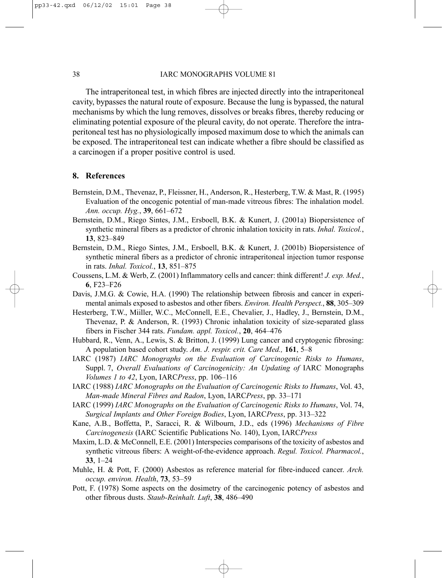The intraperitoneal test, in which fibres are injected directly into the intraperitoneal cavity, bypasses the natural route of exposure. Because the lung is bypassed, the natural mechanisms by which the lung removes, dissolves or breaks fibres, thereby reducing or eliminating potential exposure of the pleural cavity, do not operate. Therefore the intraperitoneal test has no physiologically imposed maximum dose to which the animals can be exposed. The intraperitoneal test can indicate whether a fibre should be classified as a carcinogen if a proper positive control is used.

### **8. References**

- Bernstein, D.M., Thevenaz, P., Fleissner, H., Anderson, R., Hesterberg, T.W. & Mast, R. (1995) Evaluation of the oncogenic potential of man-made vitreous fibres: The inhalation model. *Ann. occup. Hyg.*, **39**, 661–672
- Bernstein, D.M., Riego Sintes, J.M., Ersboell, B.K. & Kunert, J. (2001a) Biopersistence of synthetic mineral fibers as a predictor of chronic inhalation toxicity in rats. *Inhal. Toxicol.*, **13**, 823–849
- Bernstein, D.M., Riego Sintes, J.M., Ersboell, B.K. & Kunert, J. (2001b) Biopersistence of synthetic mineral fibers as a predictor of chronic intraperitoneal injection tumor response in rats. *Inhal. Toxicol.*, **13**, 851–875
- Coussens, L.M. & Werb, Z. (2001) Inflammatory cells and cancer: think different! *J. exp. Med.*, **6**, F23–F26
- Davis, J.M.G. & Cowie, H.A. (1990) The relationship between fibrosis and cancer in experimental animals exposed to asbestos and other fibers. *Environ. Health Perspect.*, **88**, 305–309
- Hesterberg, T.W., Miiller, W.C., McConnell, E.E., Chevalier, J., Hadley, J., Bernstein, D.M., Thevenaz, P. & Anderson, R. (1993) Chronic inhalation toxicity of size-separated glass fibers in Fischer 344 rats. *Fundam. appl. Toxicol.*, **20**, 464–476
- Hubbard, R., Venn, A., Lewis, S. & Britton, J. (1999) Lung cancer and cryptogenic fibrosing: A population based cohort study. *Am. J. respir. crit. Care Med.,* **161**, 5–8
- IARC (1987) *IARC Monographs on the Evaluation of Carcinogenic Risks to Humans*, Suppl. 7, *Overall Evaluations of Carcinogenicity: An Updating of IARC Monographs Volumes 1 to 42*, Lyon, IARC*Press*, pp. 106–116
- IARC (1988) *IARC Monographs on the Evaluation of Carcinogenic Risks to Humans*, Vol. 43, *Man-made Mineral Fibres and Radon*, Lyon, IARC*Press*, pp. 33–171
- IARC (1999) *IARC Monographs on the Evaluation of Carcinogenic Risks to Humans*, Vol. 74, *Surgical Implants and Other Foreign Bodies*, Lyon, IARC*Press*, pp. 313–322
- Kane, A.B., Boffetta, P., Saracci, R. & Wilbourn, J.D., eds (1996) *Mechanisms of Fibre Carcinogenesis* (IARC Scientific Publications No. 140), Lyon, IARC*Press*
- Maxim, L.D. & McConnell, E.E. (2001) Interspecies comparisons of the toxicity of asbestos and synthetic vitreous fibers: A weight-of-the-evidence approach. *Regul. Toxicol. Pharmacol.*, **33**, 1–24
- Muhle, H. & Pott, F. (2000) Asbestos as reference material for fibre-induced cancer. *Arch. occup. environ. Health*, **73**, 53–59
- Pott, F. (1978) Some aspects on the dosimetry of the carcinogenic potency of asbestos and other fibrous dusts. *Staub-Reinhalt. Luft*, **38**, 486–490